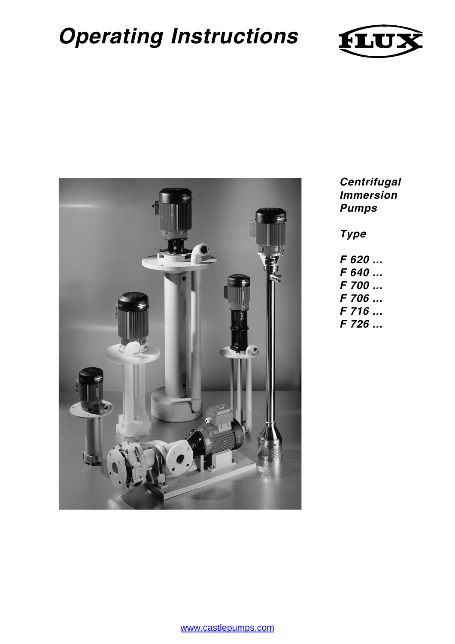# **Operating Instructions**





**Centrifugal Immersion Pumps**

**Type**

- **F 620 ... F 640 ... F 700 ... F 706 ... F 716 ...**
- **F 726 ...**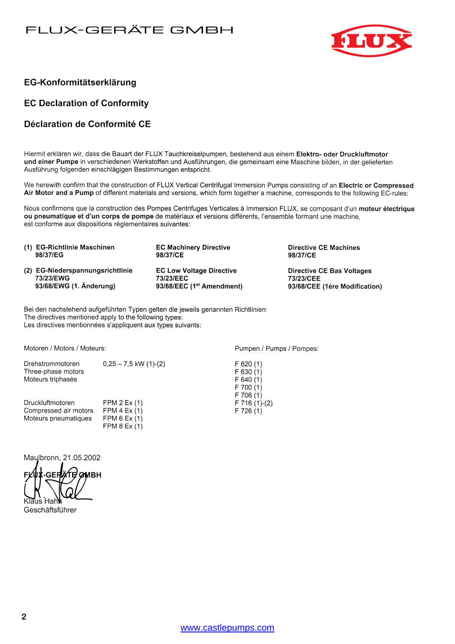#### FLUX-GERÄTE GMBH



#### EG-Konformitätserklärung

#### **EC Declaration of Conformity**

#### Déclaration de Conformité CE

Hiermit erklären wir, dass die Bauart der FLUX Tauchkreiselpumpen, bestehend aus einem Elektro- oder Druckluftmotor und einer Pumpe in verschiedenen Werkstoffen und Ausführungen, die gemeinsam eine Maschine bilden, in der gelieferten Ausführung folgenden einschlägigen Bestimmungen entspricht.

We herewith confirm that the construction of FLUX Vertical Centrifugal Immersion Pumps consisting of an Electric or Compressed Air Motor and a Pump of different materials and versions, which form together a machine, corresponds to the following EC-rules:

Nous confirmons que la construction des Pompes Centrifuges Verticales à Immersion FLUX, se composant d'un moteur électrique ou pneumatique et d'un corps de pompe de matériaux et versions différents, l'ensemble formant une machine. est conforme aux dispositions règlementaires suivantes:

| (1) EG-Richtlinie Maschinen      | <b>EC Machinery Directive</b>         | <b>Directive CE Machines</b>     |
|----------------------------------|---------------------------------------|----------------------------------|
| 98/37/EG                         | 98/37/CE                              | 98/37/CE                         |
| (2) EG-Niederspannungsrichtlinie | <b>EC Low Voltage Directive</b>       | <b>Directive CE Bas Voltages</b> |
| 73/23/EWG                        | 73/23/EEC                             | 73/23/CEE                        |
| 93/68/EWG (1. Änderung)          | 93/68/EEC (1 <sup>st</sup> Amendment) | 93/68/CEE (1ère Modification)    |

Bei den nachstehend aufgeführten Typen gelten die jeweils genannten Richtlinien: The directives mentioned apply to the following types: Les directives mentionnées s'appliquent aux types suivants:

Motoren / Motors / Moteurs:

Drehstrommotoren  $0,25 - 7,5$  kW  $(1)-(2)$ Three-phase motors Moteurs triphasés

Druckluftmotoren FPM 2 Ex (1) FPM  $4 Ex (1)$ Compressed air motors Moteurs pneumatiques FPM  $6 Ex(1)$ FPM  $8 Ex(1)$ 

Maulbronn, 21.05.2002

**GMBH** Geschäftsführer

Pumpen / Pumps / Pompes:

| F 620(1)    |               |
|-------------|---------------|
| $F$ 630 (1) |               |
| F 640 (1)   |               |
| F 700 (1)   |               |
| F 706 (1)   |               |
|             | F 716 (1)-(2) |
| F 726 (1)   |               |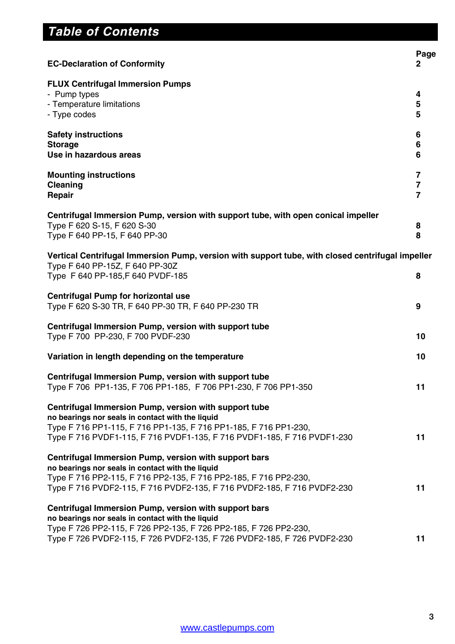## **Table of Contents**

| <b>EC-Declaration of Conformity</b>                                                                                                                                                                                                                      | Page<br>2                                                   |
|----------------------------------------------------------------------------------------------------------------------------------------------------------------------------------------------------------------------------------------------------------|-------------------------------------------------------------|
| <b>FLUX Centrifugal Immersion Pumps</b><br>- Pump types<br>- Temperature limitations<br>- Type codes                                                                                                                                                     | 4<br>5<br>5                                                 |
| <b>Safety instructions</b><br><b>Storage</b><br>Use in hazardous areas                                                                                                                                                                                   | 6<br>6<br>6                                                 |
| <b>Mounting instructions</b><br>Cleaning<br>Repair                                                                                                                                                                                                       | $\overline{7}$<br>$\overline{\mathbf{7}}$<br>$\overline{7}$ |
| Centrifugal Immersion Pump, version with support tube, with open conical impeller<br>Type F 620 S-15, F 620 S-30<br>Type F 640 PP-15, F 640 PP-30                                                                                                        | 8<br>8                                                      |
| Vertical Centrifugal Immersion Pump, version with support tube, with closed centrifugal impeller<br>Type F 640 PP-15Z, F 640 PP-30Z<br>Type F 640 PP-185, F 640 PVDF-185                                                                                 | 8                                                           |
| <b>Centrifugal Pump for horizontal use</b><br>Type F 620 S-30 TR, F 640 PP-30 TR, F 640 PP-230 TR                                                                                                                                                        | 9                                                           |
| Centrifugal Immersion Pump, version with support tube<br>Type F 700 PP-230, F 700 PVDF-230                                                                                                                                                               | 10                                                          |
| Variation in length depending on the temperature                                                                                                                                                                                                         | 10                                                          |
| Centrifugal Immersion Pump, version with support tube<br>Type F 706 PP1-135, F 706 PP1-185, F 706 PP1-230, F 706 PP1-350                                                                                                                                 | 11                                                          |
| Centrifugal Immersion Pump, version with support tube<br>no bearings nor seals in contact with the liquid<br>Type F 716 PP1-115, F 716 PP1-135, F 716 PP1-185, F 716 PP1-230,<br>Type F 716 PVDF1-115, F 716 PVDF1-135, F 716 PVDF1-185, F 716 PVDF1-230 | 11                                                          |
| Centrifugal Immersion Pump, version with support bars<br>no bearings nor seals in contact with the liquid<br>Type F 716 PP2-115, F 716 PP2-135, F 716 PP2-185, F 716 PP2-230,<br>Type F 716 PVDF2-115, F 716 PVDF2-135, F 716 PVDF2-185, F 716 PVDF2-230 | 11                                                          |
| Centrifugal Immersion Pump, version with support bars<br>no bearings nor seals in contact with the liquid<br>Type F 726 PP2-115, F 726 PP2-135, F 726 PP2-185, F 726 PP2-230,<br>Type F 726 PVDF2-115, F 726 PVDF2-135, F 726 PVDF2-185, F 726 PVDF2-230 | 11                                                          |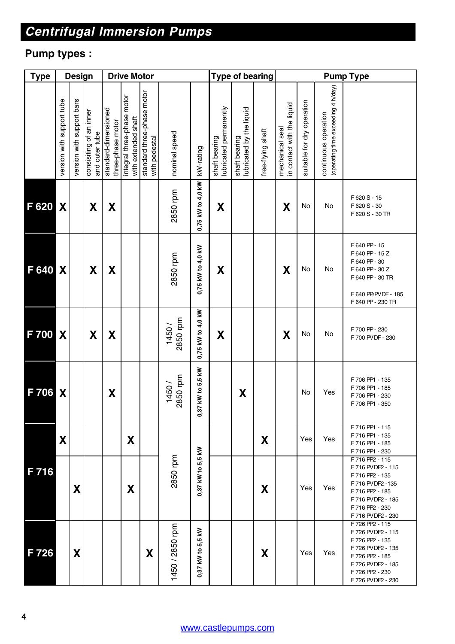# **Centrifugal Immersion Pumps**

### **Pump types :**

| <b>Type</b>       |                           | <b>Design</b>             |                                           |                                           | <b>Drive Motor</b>                                |                                             |                    |                                              |                                         | <b>Type of bearing</b>                    |                   | <b>Pump Type</b>                              |                            |                                                            |                                                                                                                                                                 |
|-------------------|---------------------------|---------------------------|-------------------------------------------|-------------------------------------------|---------------------------------------------------|---------------------------------------------|--------------------|----------------------------------------------|-----------------------------------------|-------------------------------------------|-------------------|-----------------------------------------------|----------------------------|------------------------------------------------------------|-----------------------------------------------------------------------------------------------------------------------------------------------------------------|
|                   | version with support tube | version with support bars | consisiting of an inner<br>and outer tube | standard-dimensioned<br>three-phase motor | integral three-phase motor<br>with extended shaft | standard three-phase motor<br>with pedestal | nominal speed      | kW-rating                                    | lubricated permanently<br>shaft bearing | lubricated by the liquid<br>shaft bearing | free-flying shaft | in contact with the liquid<br>mechanical seal | suitable for dry operation | (operating time exceeding 4 h/day)<br>continuous operation |                                                                                                                                                                 |
| F 620             | X                         |                           | X                                         | X                                         |                                                   |                                             | 2850 rpm           | 0,75 kW to 4,0 kW                            | X                                       |                                           |                   | $\boldsymbol{X}$                              | No                         | No                                                         | F620 S - 15<br>F620 S - 30<br>F 620 S - 30 TR                                                                                                                   |
| F 640             | X                         |                           | X                                         | X                                         |                                                   |                                             | 2850 rpm           | 0,75 kW to 4,0 kW                            | X                                       |                                           |                   | $\boldsymbol{X}$                              | No                         | No                                                         | F640 PP-15<br>F640 PP - 15Z<br>F640 PP-30<br>F640 PP - 30 Z<br>F 640 PP - 30 TR<br>F 640 PP/PVDF - 185<br>F 640 PP - 230 TR                                     |
| F 700             | X                         |                           | X                                         | X                                         |                                                   |                                             | 2850 rpm<br>1450 / | 0,75 kW to 4,0 kW                            | X                                       |                                           |                   | X                                             | No                         | No                                                         | F 700 PP - 230<br>F 700 PVDF - 230                                                                                                                              |
| F 706             | X                         |                           |                                           | X                                         |                                                   |                                             | 2850 rpm<br>1450/  | 37 kW to 5,5 kW<br>ර                         |                                         | X                                         |                   |                                               | No<br>Yes                  |                                                            | F 706 PP1 - 135<br>F 706 PP1 - 185<br>F 706 PP1 - 230<br>F 706 PP1 - 350                                                                                        |
|                   | X                         |                           |                                           |                                           | X                                                 |                                             |                    |                                              |                                         |                                           | X                 |                                               | Yes                        | Yes                                                        | F 716 PP1 - 115<br>F 716 PP1 - 135<br>F 716 PP1 - 185<br>F 716 PP1 - 230                                                                                        |
| $F\overline{716}$ |                           | X                         |                                           |                                           | X                                                 |                                             | 2850 rpm           | 0,37 kW to 5,5 kW                            |                                         |                                           | X                 |                                               | Yes                        | Yes                                                        | F 716 PP2 - 115<br>F 716 PVDF2 - 115<br>F 716 PP2 - 135<br>F 716 PV DF2 - 135<br>F 716 PP2 - 185<br>F 716 PVDF2 - 185<br>F 716 PP2 - 230<br>F 716 PV DF2 - 230  |
| F 726             |                           | X                         |                                           |                                           |                                                   | X                                           | 1450 / 2850 rpm    | ₹<br>5,5<br>$\ddot{\mathbf{e}}$<br>0,37 kW 1 |                                         |                                           | X                 |                                               | Yes                        | Yes                                                        | F 726 PP2 - 115<br>F 726 PV DF2 - 115<br>F 726 PP2 - 135<br>F 726 PV DF2 - 135<br>F 726 PP2 - 185<br>F 726 PV DF2 - 185<br>F 726 PP2 - 230<br>F 726 PVDF2 - 230 |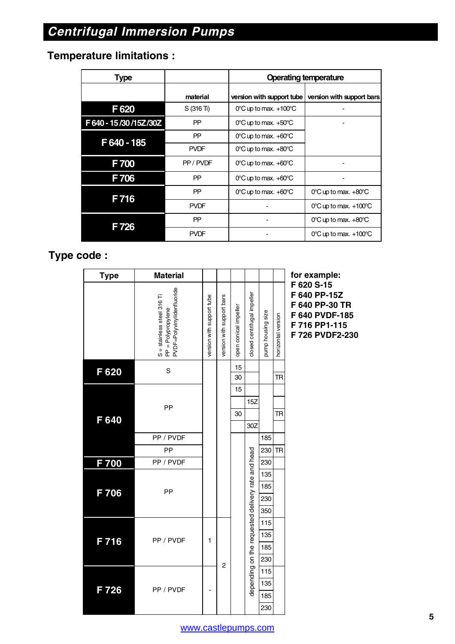### **Temperature limitations :**

| <b>Type</b>           |             | <b>Operating temperature</b>              |                                           |  |  |  |
|-----------------------|-------------|-------------------------------------------|-------------------------------------------|--|--|--|
|                       | material    | version with support tube                 | version with support bars                 |  |  |  |
| F620                  | S(316 Ti)   | $0^{\circ}$ C up to max. $+100^{\circ}$ C |                                           |  |  |  |
| F 640 - 15/30/15Z/30Z | PP          | $0^{\circ}$ C up to max. $+50^{\circ}$ C  |                                           |  |  |  |
| F 640 - 185           | <b>PP</b>   | $0^{\circ}$ C up to max. $+60^{\circ}$ C  |                                           |  |  |  |
|                       | <b>PVDF</b> | $0^{\circ}$ C up to max. $+80^{\circ}$ C  |                                           |  |  |  |
| F700                  | PP/PVDF     | $0^{\circ}$ C up to max. $+60^{\circ}$ C  |                                           |  |  |  |
| F706                  | PP          | $0^{\circ}$ C up to max. $+60^{\circ}$ C  |                                           |  |  |  |
| F716                  | PP          | $0^{\circ}$ C up to max. $+60^{\circ}$ C  | $0^{\circ}$ C up to max. $+80^{\circ}$ C  |  |  |  |
|                       | <b>PVDF</b> |                                           | $0^{\circ}$ C up to max. $+100^{\circ}$ C |  |  |  |
| F726                  | PP          |                                           | $0^{\circ}$ C up to max. $+80^{\circ}$ C  |  |  |  |
|                       | <b>PVDF</b> |                                           | $0^{\circ}$ C up to max. $+100^{\circ}$ C |  |  |  |

#### **Type code :**

| <b>Type</b> | <b>Material</b>                                                                |                           |                           |                       |                                                   |                   |                    | for                                          |
|-------------|--------------------------------------------------------------------------------|---------------------------|---------------------------|-----------------------|---------------------------------------------------|-------------------|--------------------|----------------------------------------------|
|             | PVDF=Polyvinylidenfluoride<br>S = stainless steel 316 Ti<br>PP = Polypropylene | version with support tube | version with support bars | open conical impeller | dosed centrifugal impeller                        | pump housing size | horizontal version | F 62<br>F 64<br>F 64<br>F 64<br>F 71<br>F 72 |
| F 620       | S                                                                              |                           |                           | 15                    |                                                   |                   |                    |                                              |
|             |                                                                                |                           |                           | 30                    |                                                   |                   | <b>TR</b>          |                                              |
|             |                                                                                |                           |                           | 15                    |                                                   |                   |                    |                                              |
|             | PP                                                                             |                           |                           |                       | 15Z                                               |                   |                    |                                              |
| F 640       |                                                                                |                           |                           | 30                    |                                                   |                   | TR                 |                                              |
|             |                                                                                |                           |                           |                       | 30Z                                               |                   |                    |                                              |
|             | PP / PVDF                                                                      |                           |                           |                       |                                                   | 185               |                    |                                              |
|             | PP                                                                             |                           |                           |                       |                                                   | 230               | TR                 |                                              |
| F 700       | PP / PVDF                                                                      |                           |                           |                       |                                                   | 230               |                    |                                              |
|             |                                                                                |                           |                           |                       |                                                   | 135               |                    |                                              |
| F 706       | PP                                                                             |                           |                           |                       |                                                   | 185               |                    |                                              |
|             |                                                                                |                           |                           |                       |                                                   | 230               |                    |                                              |
|             |                                                                                |                           |                           |                       |                                                   | 350               |                    |                                              |
|             |                                                                                |                           |                           |                       |                                                   | 115               |                    |                                              |
|             | PP / PVDF                                                                      | 1                         |                           |                       |                                                   | 135               |                    |                                              |
| F 716       |                                                                                |                           |                           |                       |                                                   | 185               |                    |                                              |
|             |                                                                                |                           |                           |                       |                                                   | 230               |                    |                                              |
|             |                                                                                |                           | $\overline{c}$            |                       |                                                   | 115               |                    |                                              |
|             | PP / PVDF                                                                      |                           |                           |                       | depending on the requested delivery rate and head | 135               |                    |                                              |
| F 726       |                                                                                |                           |                           |                       |                                                   | 185               |                    |                                              |
|             |                                                                                |                           |                           |                       |                                                   | 230               |                    |                                              |

**for example: F 620 S-15 F 640 PP-15Z F 640 PP-30 TR F 640 PVDF-185 F 716 PP1-115 F 726 PVDF2-230**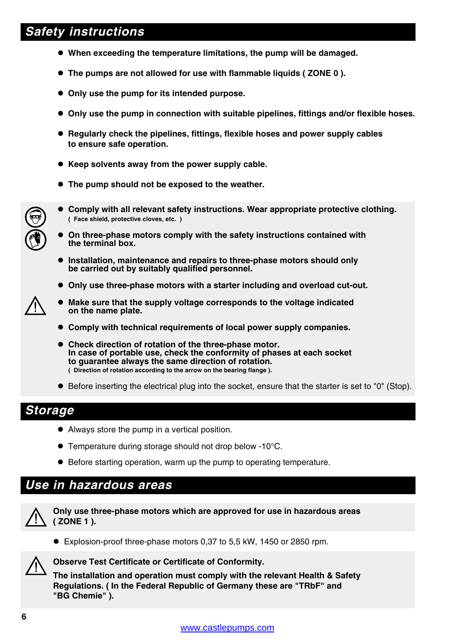### **Safety instructions**

- **When exceeding the temperature limitations, the pump will be damaged.**
- **The pumps are not allowed for use with flammable liquids ( ZONE 0 ).**
- **Only use the pump for its intended purpose.**
- **Only use the pump in connection with suitable pipelines, fittings and/or flexible hoses.**
- **Regularly check the pipelines, fittings, flexible hoses and power supply cables to ensure safe operation.**
- **Keep solvents away from the power supply cable.**
- **The pump should not be exposed to the weather.**



- **Comply with all relevant safety instructions. Wear appropriate protective clothing. ( Face shield, protective cloves, etc. )**
- **On three-phase motors comply with the safety instructions contained with the terminal box.**
- **Installation, maintenance and repairs to three-phase motors should only be carried out by suitably qualified personnel.**
- **Only use three-phase motors with a starter including and overload cut-out.**
- **Make sure that the supply voltage corresponds to the voltage indicated on the name plate.**
- **Comply with technical requirements of local power supply companies.**
- **Check direction of rotation of the three-phase motor. In case of portable use, check the conformity of phases at each socket to guarantee always the same direction of rotation. ( Direction of rotation according to the arrow on the bearing flange ).**
- Before inserting the electrical plug into the socket, ensure that the starter is set to "0" (Stop).

#### **Storage**

- Always store the pump in a vertical position.
- Temperature during storage should not drop below -10°C.
- Before starting operation, warm up the pump to operating temperature.

#### **Use in hazardous areas**



**Only use three-phase motors which are approved for use in hazardous areas ( ZONE 1 ).**

● Explosion-proof three-phase motors 0,37 to 5,5 kW, 1450 or 2850 rpm.



**Observe Test Certificate or Certificate of Conformity.**

**The installation and operation must comply with the relevant Health & Safety Regulations. ( In the Federal Republic of Germany these are "TRbF" and "BG Chemie" ).**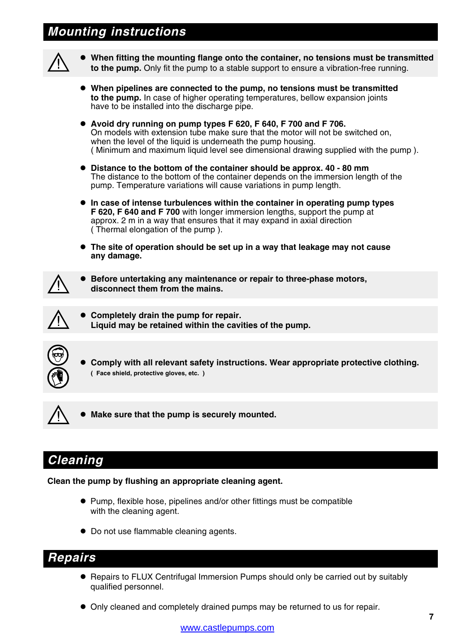### **Mounting instructions**



- **When fitting the mounting flange onto the container, no tensions must be transmitted to the pump.** Only fit the pump to a stable support to ensure a vibration-free running.
- **When pipelines are connected to the pump, no tensions must be transmitted to the pump.** In case of higher operating temperatures, bellow expansion joints have to be installed into the discharge pipe.
- **Avoid dry running on pump types F 620, F 640, F 700 and F 706.** On models with extension tube make sure that the motor will not be switched on, when the level of the liquid is underneath the pump housing. ( Minimum and maximum liquid level see dimensional drawing supplied with the pump ).
- **Distance to the bottom of the container should be approx. 40 80 mm** The distance to the bottom of the container depends on the immersion length of the pump. Temperature variations will cause variations in pump length.
- **In case of intense turbulences within the container in operating pump types F 620, F 640 and F 700** with longer immersion lengths, support the pump at approx. 2 m in a way that ensures that it may expand in axial direction ( Thermal elongation of the pump ).
- **The site of operation should be set up in a way that leakage may not cause any damage.**



 **Before untertaking any maintenance or repair to three-phase motors, disconnect them from the mains.**



 **Completely drain the pump for repair. Liquid may be retained within the cavities of the pump.**



 **Comply with all relevant safety instructions. Wear appropriate protective clothing. ( Face shield, protective gloves, etc. )**



**Make sure that the pump is securely mounted.**

#### **Cleaning**

**Clean the pump by flushing an appropriate cleaning agent.**

- Pump, flexible hose, pipelines and/or other fittings must be compatible with the cleaning agent.
- Do not use flammable cleaning agents.

#### **Repairs**

- Repairs to FLUX Centrifugal Immersion Pumps should only be carried out by suitably qualified personnel.
- Only cleaned and completely drained pumps may be returned to us for repair.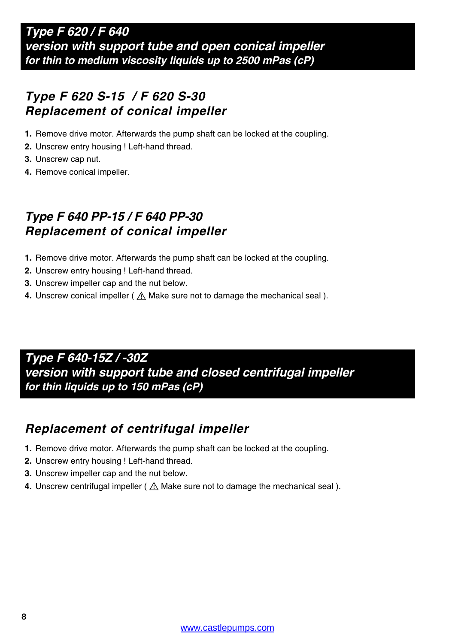### **Type F 620 S-15 / F 620 S-30 Replacement of conical impeller**

- **1.** Remove drive motor. Afterwards the pump shaft can be locked at the coupling.
- **2.** Unscrew entry housing ! Left-hand thread.
- **3.** Unscrew cap nut.
- **4.** Remove conical impeller.

### **Type F 640 PP-15 / F 640 PP-30 Replacement of conical impeller**

- **1.** Remove drive motor. Afterwards the pump shaft can be locked at the coupling.
- **2.** Unscrew entry housing ! Left-hand thread.
- **3.** Unscrew impeller cap and the nut below.
- **4.** Unscrew conical impeller ( $\triangle$  Make sure not to damage the mechanical seal).

**Type F 640-15Z / -30Z version with support tube and closed centrifugal impeller for thin liquids up to 150 mPas (cP)**

### **Replacement of centrifugal impeller**

- **1.** Remove drive motor. Afterwards the pump shaft can be locked at the coupling.
- **2.** Unscrew entry housing ! Left-hand thread.
- **3.** Unscrew impeller cap and the nut below.
- **4.** Unscrew centrifugal impeller ( $\triangle$  Make sure not to damage the mechanical seal).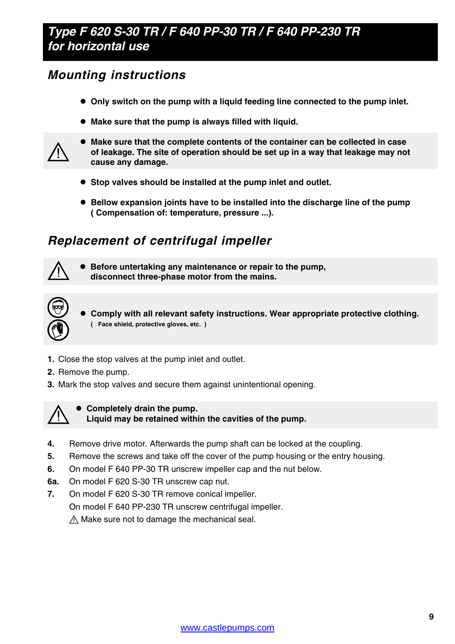### **Type F 620 S-30 TR / F 640 PP-30 TR / F 640 PP-230 TR for horizontal use**

### **Mounting instructions**

- **Only switch on the pump with a liquid feeding line connected to the pump inlet.**
- **Make sure that the pump is always filled with liquid.**



- **Make sure that the complete contents of the container can be collected in case of leakage. The site of operation should be set up in a way that leakage may not cause any damage.**
- **Stop valves should be installed at the pump inlet and outlet.**
- **Bellow expansion joints have to be installed into the discharge line of the pump ( Compensation of: temperature, pressure ...).**

### **Replacement of centrifugal impeller**



 **Before untertaking any maintenance or repair to the pump, disconnect three-phase motor from the mains.**



 **Comply with all relevant safety instructions. Wear appropriate protective clothing. ( Face shield, protective gloves, etc. )**

- **1.** Close the stop valves at the pump inlet and outlet.
- **2.** Remove the pump.
- **3.** Mark the stop valves and secure them against unintentional opening.



 **Completely drain the pump. Liquid may be retained within the cavities of the pump.**

- **4.** Remove drive motor. Afterwards the pump shaft can be locked at the coupling.
- **5.** Remove the screws and take off the cover of the pump housing or the entry housing.
- **6.** On model F 640 PP-30 TR unscrew impeller cap and the nut below.
- **6a.** On model F 620 S-30 TR unscrew cap nut.
- **7.** On model F 620 S-30 TR remove conical impeller. On model F 640 PP-230 TR unscrew centrifugal impeller.  $\land$  Make sure not to damage the mechanical seal.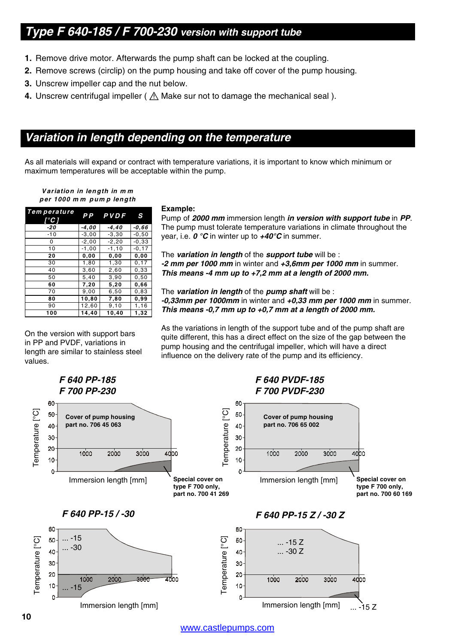#### **Type F 640-185 / F 700-230 version with support tube**

- **1.** Remove drive motor. Afterwards the pump shaft can be locked at the coupling.
- **2.** Remove screws (circlip) on the pump housing and take off cover of the pump housing.
- **3.** Unscrew impeller cap and the nut below.
- **4.** Unscrew centrifugal impeller ( $\triangle$  Make sur not to damage the mechanical seal).

#### **Variation in length depending on the temperature**

As all materials will expand or contract with temperature variations, it is important to know which minimum or maximum temperatures will be acceptable within the pump.

#### **Variation in length in m <sup>m</sup> per 1000 m <sup>m</sup> pum p length**

| Tem perature<br>'°C 1 |         | PP PVDF  | S        |
|-----------------------|---------|----------|----------|
| -20                   | $-4,00$ | -4,40    | -0.66    |
| $-10$                 | $-3,00$ | $-3,30$  | $-0,50$  |
| 0                     | $-2,00$ | $-2,20$  | $-0.33$  |
| 10                    | $-1,00$ | $-1, 10$ | $-0, 17$ |
| 20                    | 0,00    | 0.00     | 0,00     |
| 30                    | 1,80    | 1,30     | 0, 17    |
| 40                    | 3,60    | 2,60     | 0,33     |
| 50                    | 5,40    | 3,90     | 0,50     |
| 60                    | 7,20    | 5,20     | 0.66     |
| 70                    | 9,00    | 6,50     | 0,83     |
| 80                    | 10,80   | 7,80     | 0.99     |
| 90                    | 12,60   | 9,10     | 1,16     |
| 100                   | 14.40   | 10.40    | 1,32     |

On the version with support bars in PP and PVDF, variations in length are similar to stainless steel values.

#### **Example:**

Pump of **2000 mm** immersion length **in version with support tube** in **PP**. The pump must tolerate temperature variations in climate throughout the year, i.e. **0 °C** in winter up to **+40°C** in summer.

The **variation in length** of the **support tube** will be : **-2 mm per 1000 mm** in winter and **+3,6mm per 1000 mm** in summer. **This means -4 mm up to +7,2 mm at a length of 2000 mm.**

The **variation in length** of the **pump shaft** will be : **-0,33mm per 1000mm** in winter and **+0,33 mm per 1000 mm** in summer. **This means -0,7 mm up to +0,7 mm at a length of 2000 mm.**

As the variations in length of the support tube and of the pump shaft are quite different, this has a direct effect on the size of the gap between the pump housing and the centrifugal impeller, which will have a direct influence on the delivery rate of the pump and its efficiency.



www.castlepumps.com